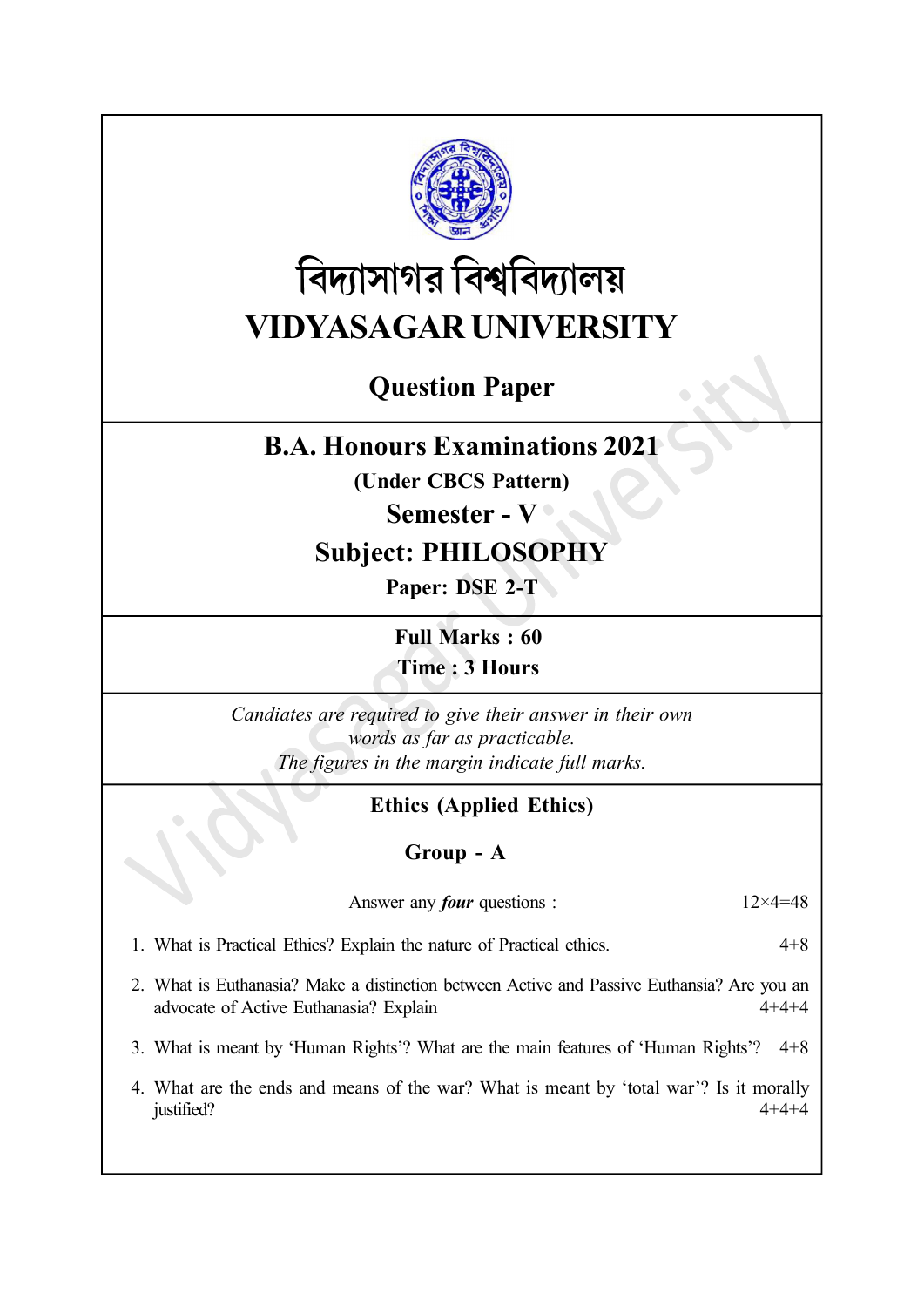

# বিদ্যাসাগর বিশ্ববিদ্যালয় VIDYASAGAR UNIVERSITY

# Question Paper

## B.A. Honours Examinations 2021

(Under CBCS Pattern)

### Semester - V

## Subject: PHILOSOPHY

Paper: DSE 2-T

Full Marks : 60

Time : 3 Hours

Candiates are required to give their answer in their own words as far as practicable. The figures in the margin indicate full marks.

## Ethics (Applied Ethics)

#### Group - A

Answer any *four* questions :  $12 \times 4 = 48$ 

- 1. What is Practical Ethics? Explain the nature of Practical ethics. 4+8
- 2. What is Euthanasia? Make a distinction between Active and Passive Euthansia? Are you an advocate of Active Euthanasia? Explain 4+4+4
- 3. What is meant by 'Human Rights'? What are the main features of 'Human Rights'? 4+8
- 4. What are the ends and means of the war? What is meant by 'total war'? Is it morally justified?  $4+4+4$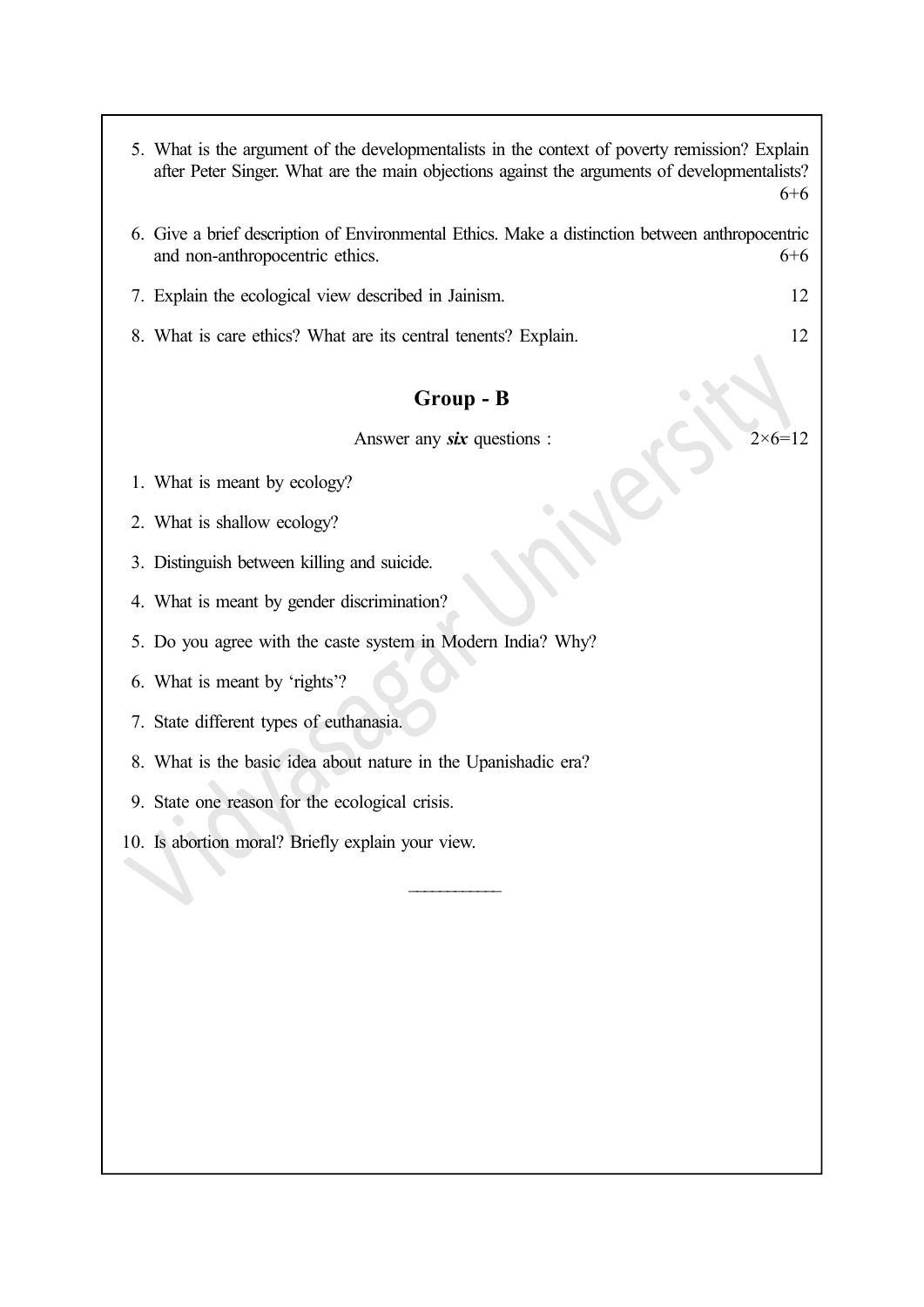|           | 5. What is the argument of the developmentalists in the context of poverty remission? Explain<br>after Peter Singer. What are the main objections against the arguments of developmentalists?<br>$6 + 6$ |  |  |
|-----------|----------------------------------------------------------------------------------------------------------------------------------------------------------------------------------------------------------|--|--|
|           | 6. Give a brief description of Environmental Ethics. Make a distinction between anthropocentric<br>and non-anthropocentric ethics.<br>$6 + 6$                                                            |  |  |
|           | 7. Explain the ecological view described in Jainism.<br>12                                                                                                                                               |  |  |
|           | 8. What is care ethics? What are its central tenents? Explain.<br>12                                                                                                                                     |  |  |
| Group - B |                                                                                                                                                                                                          |  |  |
|           | Answer any <b>six</b> questions :                                                                                                                                                                        |  |  |
|           | 1. What is meant by ecology?                                                                                                                                                                             |  |  |
|           | 2. What is shallow ecology?                                                                                                                                                                              |  |  |
|           | 3. Distinguish between killing and suicide.                                                                                                                                                              |  |  |
|           | 4. What is meant by gender discrimination?                                                                                                                                                               |  |  |
|           | 5. Do you agree with the caste system in Modern India? Why?                                                                                                                                              |  |  |
|           | 6. What is meant by 'rights'?                                                                                                                                                                            |  |  |
|           | 7. State different types of euthanasia.                                                                                                                                                                  |  |  |
|           | 8. What is the basic idea about nature in the Upanishadic era?                                                                                                                                           |  |  |
|           | 9. State one reason for the ecological crisis.                                                                                                                                                           |  |  |
|           | 10. Is abortion moral? Briefly explain your view.                                                                                                                                                        |  |  |
|           |                                                                                                                                                                                                          |  |  |
|           |                                                                                                                                                                                                          |  |  |
|           |                                                                                                                                                                                                          |  |  |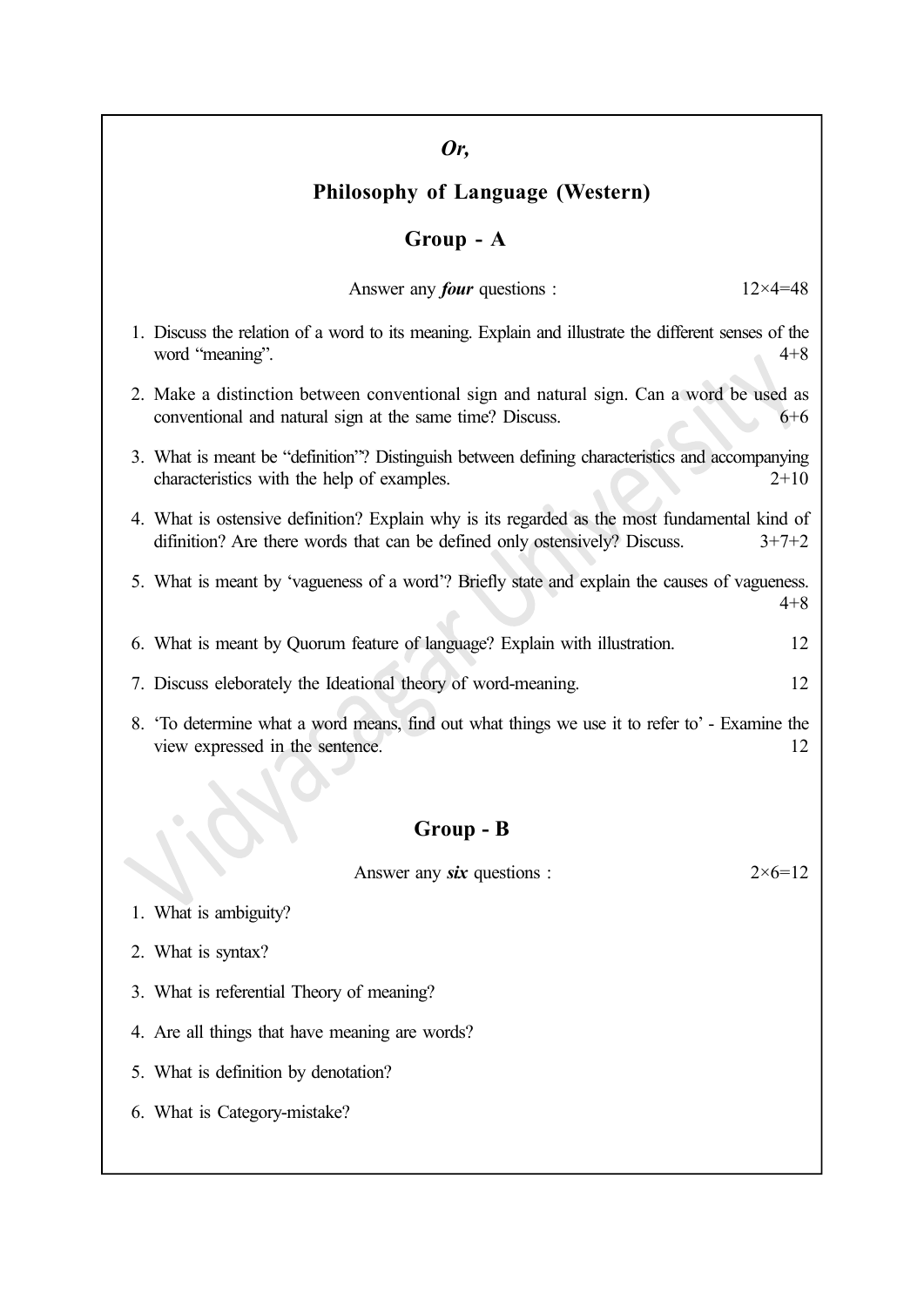#### Or,

#### Philosophy of Language (Western)

#### Group - A

| Answer any <i>four</i> questions : | $12\times 4=48$ |
|------------------------------------|-----------------|
|------------------------------------|-----------------|

- 1. Discuss the relation of a word to its meaning. Explain and illustrate the different senses of the word "meaning". 4+8
- 2. Make a distinction between conventional sign and natural sign. Can a word be used as conventional and natural sign at the same time? Discuss. 6+6
- 3. What is meant be "definition"? Distinguish between defining characteristics and accompanying characteristics with the help of examples. 2+10
- 4. What is ostensive definition? Explain why is its regarded as the most fundamental kind of difinition? Are there words that can be defined only ostensively? Discuss.  $3+7+2$
- 5. What is meant by 'vagueness of a word'? Briefly state and explain the causes of vagueness. 4+8
- 6. What is meant by Quorum feature of language? Explain with illustration. 12
- 7. Discuss eleborately the Ideational theory of word-meaning. 12
- 8. 'To determine what a word means, find out what things we use it to refer to' Examine the view expressed in the sentence. 12

#### Group - B

Answer any six questions :  $2 \times 6 = 12$ 

- 1. What is ambiguity?
- 2. What is syntax?
- 3. What is referential Theory of meaning?
- 4. Are all things that have meaning are words?
- 5. What is definition by denotation?
- 6. What is Category-mistake?